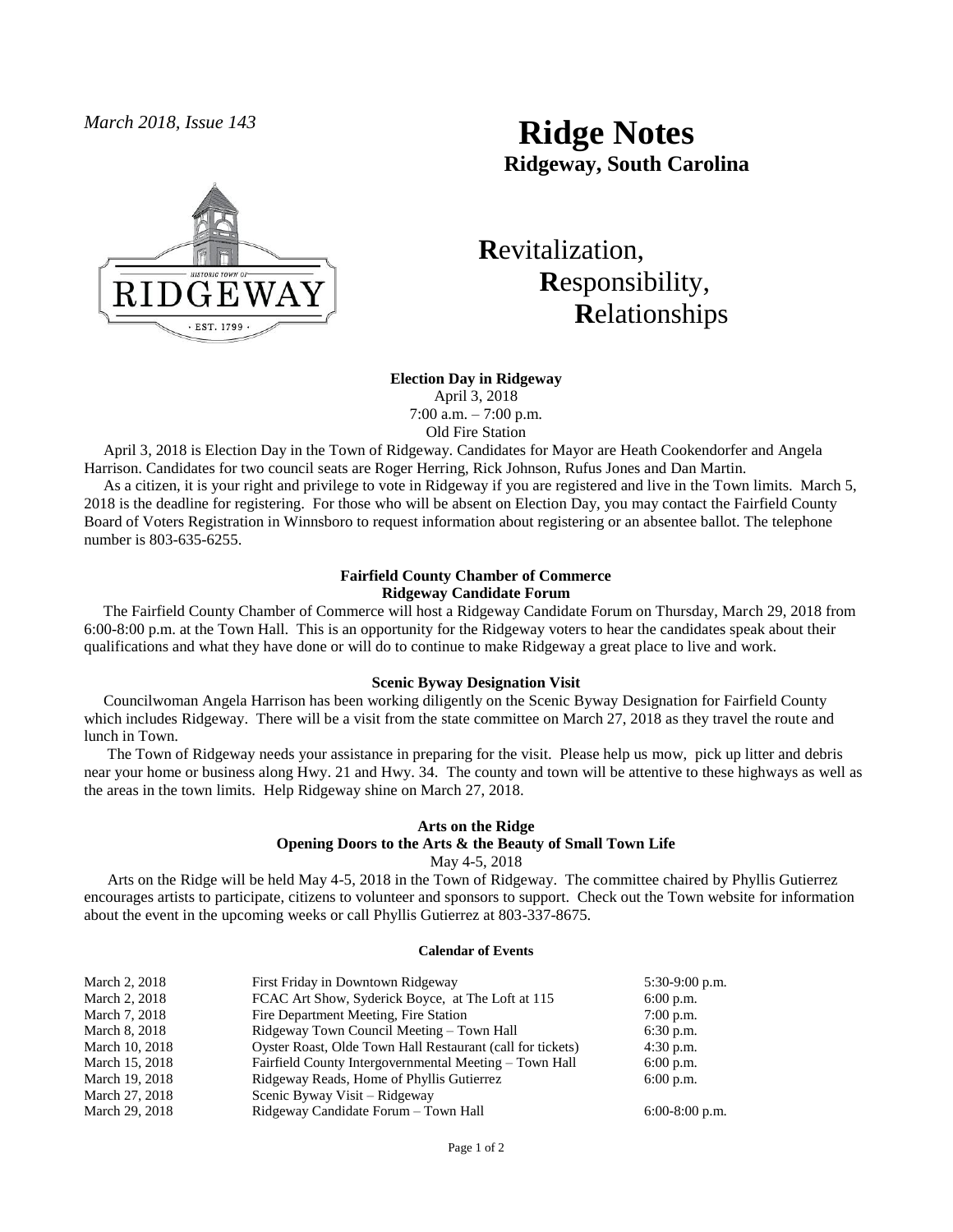

# *March 2018, Issue 143* **Ridge Notes Ridgeway, South Carolina**

 **R**evitalization,  **R**esponsibility,  **R**elationships

**Election Day in Ridgeway**

April 3, 2018 7:00 a.m. – 7:00 p.m.

Old Fire Station

 April 3, 2018 is Election Day in the Town of Ridgeway. Candidates for Mayor are Heath Cookendorfer and Angela Harrison. Candidates for two council seats are Roger Herring, Rick Johnson, Rufus Jones and Dan Martin.

 As a citizen, it is your right and privilege to vote in Ridgeway if you are registered and live in the Town limits. March 5, 2018 is the deadline for registering. For those who will be absent on Election Day, you may contact the Fairfield County Board of Voters Registration in Winnsboro to request information about registering or an absentee ballot. The telephone number is 803-635-6255.

## **Fairfield County Chamber of Commerce Ridgeway Candidate Forum**

 The Fairfield County Chamber of Commerce will host a Ridgeway Candidate Forum on Thursday, March 29, 2018 from 6:00-8:00 p.m. at the Town Hall. This is an opportunity for the Ridgeway voters to hear the candidates speak about their qualifications and what they have done or will do to continue to make Ridgeway a great place to live and work.

### **Scenic Byway Designation Visit**

 Councilwoman Angela Harrison has been working diligently on the Scenic Byway Designation for Fairfield County which includes Ridgeway. There will be a visit from the state committee on March 27, 2018 as they travel the route and lunch in Town.

 The Town of Ridgeway needs your assistance in preparing for the visit. Please help us mow, pick up litter and debris near your home or business along Hwy. 21 and Hwy. 34. The county and town will be attentive to these highways as well as the areas in the town limits. Help Ridgeway shine on March 27, 2018.

#### **Arts on the Ridge Opening Doors to the Arts & the Beauty of Small Town Life** May 4-5, 2018

 Arts on the Ridge will be held May 4-5, 2018 in the Town of Ridgeway. The committee chaired by Phyllis Gutierrez encourages artists to participate, citizens to volunteer and sponsors to support. Check out the Town website for information about the event in the upcoming weeks or call Phyllis Gutierrez at 803-337-8675.

#### **Calendar of Events**

| March 2, 2018  | First Friday in Downtown Ridgeway                          | $5:30-9:00$ p.m. |
|----------------|------------------------------------------------------------|------------------|
| March 2, 2018  | FCAC Art Show, Syderick Boyce, at The Loft at 115          | $6:00$ p.m.      |
| March 7, 2018  | Fire Department Meeting, Fire Station                      | $7:00$ p.m.      |
| March 8, 2018  | Ridgeway Town Council Meeting – Town Hall                  | $6:30$ p.m.      |
| March 10, 2018 | Oyster Roast, Olde Town Hall Restaurant (call for tickets) | $4:30$ p.m.      |
| March 15, 2018 | Fairfield County Intergovernmental Meeting – Town Hall     | $6:00$ p.m.      |
| March 19, 2018 | Ridgeway Reads, Home of Phyllis Gutierrez                  | $6:00$ p.m.      |
| March 27, 2018 | Scenic Byway Visit – Ridgeway                              |                  |
| March 29, 2018 | Ridgeway Candidate Forum – Town Hall                       | $6:00-8:00$ p.m. |